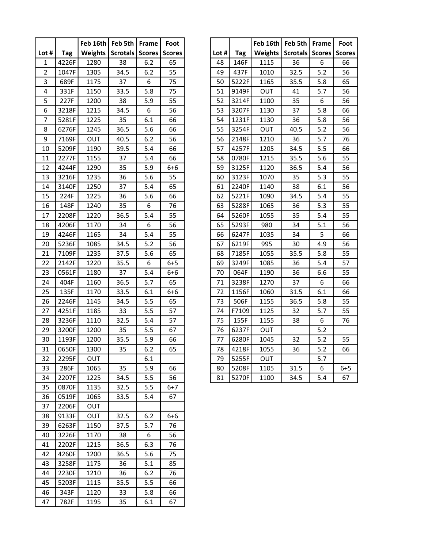|                |              |            | Feb 16th   Feb 5th   Frame           |       | Foot    |         |                | Feb 16th   Feb 5th   Frame |                   |       | Foot         |
|----------------|--------------|------------|--------------------------------------|-------|---------|---------|----------------|----------------------------|-------------------|-------|--------------|
| Lot #          | Tag          |            | Weights   Scrotals   Scores   Scores |       |         | Lot $#$ | <b>Tag</b>     | Weights                    | Scrotals   Scores |       | <b>Score</b> |
| $\mathbf{1}$   | 4226F        | 1280       | 38                                   | 6.2   | 65      | 48      | 146F           | 1115                       | 36                | 6     | 66           |
| $\overline{2}$ | 1047F        | 1305       | 34.5                                 | 6.2   | 55      | 49      | 437F           | 1010                       | 32.5              | 5.2   | 56           |
| 3              | 689F         | 1175       | 37                                   | 6     | 75      | 50      | 5222F          | 1165                       | 35.5              | 5.8   | 65           |
| 4              | 331F         | 1150       | 33.5                                 | 5.8   | 75      | 51      | 9149F          | OUT                        | 41                | 5.7   | 56           |
| 5              | 227F         | 1200       | 38                                   | 5.9   | 55      | 52      | 3214F          | 1100                       | 35                | 6     | 56           |
| 6              | 3218F        | 1215       | 34.5                                 | 6     | 56      | 53      | 3207F          | 1130                       | 37                | 5.8   | 66           |
| $\overline{7}$ | 5281F        | 1225       | 35                                   | 6.1   | 66      | 54      | 1231F          | 1130                       | 36                | 5.8   | 56           |
| 8              | 6276F        | 1245       | 36.5                                 | 5.6   | 66      | 55      | 3254F          | OUT                        | 40.5              | 5.2   | 56           |
| 9              | 7169F        | OUT        | 40.5                                 | 6.2   | 56      | 56      | 2148F          | 1210                       | 36                | 5.7   | 76           |
| 10             | 5209F        | 1190       | 39.5                                 | 5.4   | 66      | 57      | 4257F          | 1205                       | 34.5              | 5.5   | 66           |
| 11             | 2277F        | 1155       | 37                                   | 5.4   | 66      | 58      | 0780F          | 1215                       | 35.5              | 5.6   | 55           |
| 12             | 4244F        | 1290       | 35                                   | 5.9   | $6 + 6$ | 59      | 3125F          | 1120                       | 36.5              | 5.4   | 56           |
| 13             | 3216F        | 1235       | 36                                   | 5.6   | 55      | 60      | 3123F          | 1070                       | 35                | 5.3   | 55           |
| 14             | 3140F        | 1250       | 37                                   | 5.4   | 65      | 61      | 2240F          | 1140                       | 38                | 6.1   | 56           |
| 15             | 224F         | 1225       | 36                                   | 5.6   | 66      | 62      | 5221F          | 1090                       | 34.5              | 5.4   | 55           |
| 16             | 148F         | 1240       | 35                                   | 6     | 76      | 63      | 5288F          | 1065                       | 36                | 5.3   | 55           |
| 17             | 2208F        | 1220       | 36.5                                 | 5.4   | 55      | 64      | 5260F          | 1055                       | 35                | 5.4   | 55           |
| 18             | 4206F        | 1170       | 34                                   | 6     | 56      | 65      | 5293F          | 980                        | 34                | 5.1   | 56           |
| 19             | 4246F        | 1165       | 34                                   | 5.4   | 55      | 66      | 6247F          | 1035                       | 34                | 5     | 66           |
| 20             | 5236F        | 1085       | 34.5                                 | 5.2   | 56      | 67      | 6219F          | 995                        | 30                | 4.9   | 56           |
| 21             | 7109F        | 1235       | 37.5                                 | 5.6   | 65      | 68      | 7185F          | 1055                       | 35.5              | 5.8   | 55           |
| 22             | 2142F        | 1220       | 35.5                                 | 6     | $6 + 5$ | 69      | 3249F          | 1085                       | 36                | 5.4   | 57           |
| 23             | 0561F        | 1180       | 37                                   | 5.4   | $6 + 6$ | 70      | 064F           | 1190                       | 36                | 6.6   | 55           |
| 24             | 404F         | 1160       | 36.5                                 | 5.7   | 65      | 71      | 3238F          | 1270                       | 37                | 6     | 66           |
| 25             | 135F         | 1170       | 33.5                                 | 6.1   | $6 + 6$ | 72      | 1156F          | 1060                       | 31.5              | 6.1   | 66           |
| 26             | 2246F        | 1145       | 34.5                                 | 5.5   | 65      | 73      | 506F           | 1155                       | 36.5              | 5.8   | 55           |
| 27             | 4251F        | 1185       | 33                                   | 5.5   | 57      | 74      | F7109          | 1125                       | 32                | 5.7   | 55           |
| 28             | 3236F        | 1110       | 32.5                                 | 5.4   | 57      | 75      | 155F           | 1155                       | 38                | 6     | 76           |
| 29             | 3200F        | 1200       | 35                                   | 5.5   | 67      | 76      | 6237F          | OUT                        |                   | 5.2   |              |
| 30             | 1193F        | 1200       | 35.5                                 | 5.9   | 66      | 77      | 6280F          | 1045                       | 32                | 5.2   | 55           |
| 31             | 0650F        | 1300       | 35                                   | $6.2$ | 65      | 78      | $\sqrt{4218F}$ | 1055                       | 36                | $5.2$ | 66           |
| 32             | 2295F        | <b>OUT</b> |                                      | 6.1   |         | 79      | 5255F          | OUT                        |                   | 5.7   |              |
| 33             | 286F         | 1065       | 35                                   | 5.9   | 66      | 80      | 5208F          | 1105                       | 31.5              | 6     | $6 + 5$      |
| 34             | 2207F        | 1225       | 34.5                                 | 5.5   | 56      | 81      | 5270F          | 1100                       | 34.5              | 5.4   | 67           |
| 35             | 0870F        | 1135       | 32.5                                 | 5.5   | $6 + 7$ |         |                |                            |                   |       |              |
| 36             | 0519F        | 1065       | 33.5                                 | 5.4   | 67      |         |                |                            |                   |       |              |
| 37             | 2206F        | OUT        |                                      |       |         |         |                |                            |                   |       |              |
| 38             | 9133F        | <b>OUT</b> | 32.5                                 | 6.2   | $6 + 6$ |         |                |                            |                   |       |              |
| 39             | 6263F        | 1150       | 37.5                                 | 5.7   | 76      |         |                |                            |                   |       |              |
| 40             | 3226F        | 1170       | 38                                   | 6     | 56      |         |                |                            |                   |       |              |
| 41             | 2202F        | 1215       | 36.5                                 | 6.3   | 76      |         |                |                            |                   |       |              |
| 42             | 4260F        | 1200       | 36.5                                 | 5.6   | 75      |         |                |                            |                   |       |              |
| 43             | 3258F        | 1175       | 36                                   | 5.1   | 85      |         |                |                            |                   |       |              |
| 44             | 2230F        | 1210       | 36                                   | 6.2   | 76      |         |                |                            |                   |       |              |
| 45             | 5203F        | 1115       | 35.5                                 | 5.5   | 66      |         |                |                            |                   |       |              |
| 46<br>47       | 343F<br>782F | 1120       | 33                                   | 5.8   | 66      |         |                |                            |                   |       |              |
|                |              | 1195       | 35                                   | 6.1   | 67      |         |                |                            |                   |       |              |

| Foot          |       |            | Feb 16th   Feb 5th |                 | Frame         | Foot          |
|---------------|-------|------------|--------------------|-----------------|---------------|---------------|
| <b>Scores</b> | Lot # | <b>Tag</b> | <b>Weights</b>     | <b>Scrotals</b> | <b>Scores</b> | <b>Scores</b> |
| 65            | 48    | 146F       | 1115               | 36              | 6             | 66            |
| 55            | 49    | 437F       | 1010               | 32.5            | 5.2           | 56            |
| 75            | 50    | 5222F      | 1165               | 35.5            | 5.8           | 65            |
| 75            | 51    | 9149F      | OUT                | 41              | 5.7           | 56            |
| 55            | 52    | 3214F      | 1100               | 35              | 6             | 56            |
| 56            | 53    | 3207F      | 1130               | 37              | 5.8           | 66            |
| 66            | 54    | 1231F      | 1130               | 36              | 5.8           | 56            |
| 66            | 55    | 3254F      | OUT                | 40.5            | 5.2           | 56            |
| 56            | 56    | 2148F      | 1210               | 36              | 5.7           | 76            |
| 66            | 57    | 4257F      | 1205               | 34.5            | 5.5           | 66            |
| 66            | 58    | 0780F      | 1215               | 35.5            | 5.6           | 55            |
| $6 + 6$       | 59    | 3125F      | 1120               | 36.5            | 5.4           | 56            |
| 55            | 60    | 3123F      | 1070               | 35              | 5.3           | 55            |
| 65            | 61    | 2240F      | 1140               | 38              | 6.1           | 56            |
| 66            | 62    | 5221F      | 1090               | 34.5            | 5.4           | 55            |
| 76            | 63    | 5288F      | 1065               | 36              | 5.3           | 55            |
| 55            | 64    | 5260F      | 1055               | 35              | 5.4           | 55            |
| 56            | 65    | 5293F      | 980                | 34              | 5.1           | 56            |
| 55            | 66    | 6247F      | 1035               | 34              | 5             | 66            |
| 56            | 67    | 6219F      | 995                | 30              | 4.9           | 56            |
| 65            | 68    | 7185F      | 1055               | 35.5            | 5.8           | 55            |
| $6 + 5$       | 69    | 3249F      | 1085               | 36              | 5.4           | 57            |
| $6 + 6$       | 70    | 064F       | 1190               | 36              | 6.6           | 55            |
| 65            | 71    | 3238F      | 1270               | 37              | 6             | 66            |
| $6 + 6$       | 72    | 1156F      | 1060               | 31.5            | 6.1           | 66            |
| 65            | 73    | 506F       | 1155               | 36.5            | 5.8           | 55            |
| 57            | 74    | F7109      | 1125               | 32              | 5.7           | 55            |
| 57            | 75    | 155F       | 1155               | 38              | 6             | 76            |
| 67            | 76    | 6237F      | <b>OUT</b>         |                 | 5.2           |               |
| 66            | 77    | 6280F      | 1045               | 32              | 5.2           | 55            |
| 65            | 78    | 4218F      | 1055               | 36              | 5.2           | 66            |
|               | 79    | 5255F      | OUT                |                 | 5.7           |               |
| 66            | 80    | 5208F      | 1105               | 31.5            | 6             | $6 + 5$       |
| 56            | 81    | 5270F      | 1100               | 34.5            | 5.4           | 67            |